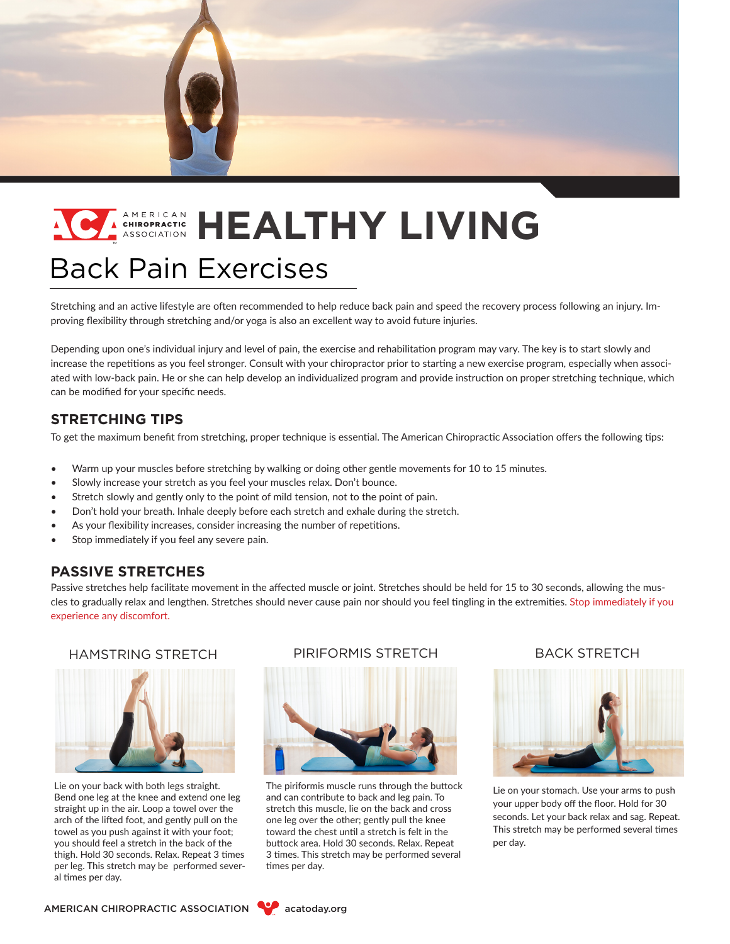

# Back Pain Exercises **EXISTERATION HEALTHY LIVING**

Stretching and an active lifestyle are often recommended to help reduce back pain and speed the recovery process following an injury. Improving flexibility through stretching and/or yoga is also an excellent way to avoid future injuries.

Depending upon one's individual injury and level of pain, the exercise and rehabilitation program may vary. The key is to start slowly and increase the repetitions as you feel stronger. Consult with your chiropractor prior to starting a new exercise program, especially when associated with low-back pain. He or she can help develop an individualized program and provide instruction on proper stretching technique, which can be modified for your specific needs.

# **STRETCHING TIPS**

To get the maximum benefit from stretching, proper technique is essential. The American Chiropractic Association offers the following tips:

- Warm up your muscles before stretching by walking or doing other gentle movements for 10 to 15 minutes.
- Slowly increase your stretch as you feel your muscles relax. Don't bounce.
- Stretch slowly and gently only to the point of mild tension, not to the point of pain.
- Don't hold your breath. Inhale deeply before each stretch and exhale during the stretch.
- As your flexibility increases, consider increasing the number of repetitions.
- Stop immediately if you feel any severe pain.

### **PASSIVE STRETCHES**

Passive stretches help facilitate movement in the affected muscle or joint. Stretches should be held for 15 to 30 seconds, allowing the muscles to gradually relax and lengthen. Stretches should never cause pain nor should you feel tingling in the extremities. Stop immediately if you experience any discomfort.



Lie on your back with both legs straight. Bend one leg at the knee and extend one leg straight up in the air. Loop a towel over the arch of the lifted foot, and gently pull on the towel as you push against it with your foot; you should feel a stretch in the back of the thigh. Hold 30 seconds. Relax. Repeat 3 times per leg. This stretch may be performed several times per day.

#### HAMSTRING STRETCH PIRIFORMIS STRETCH BACK STRETCH



The piriformis muscle runs through the buttock and can contribute to back and leg pain. To stretch this muscle, lie on the back and cross one leg over the other; gently pull the knee toward the chest until a stretch is felt in the buttock area. Hold 30 seconds. Relax. Repeat 3 times. This stretch may be performed several times per day.



Lie on your stomach. Use your arms to push your upper body off the floor. Hold for 30 seconds. Let your back relax and sag. Repeat. This stretch may be performed several times per day.